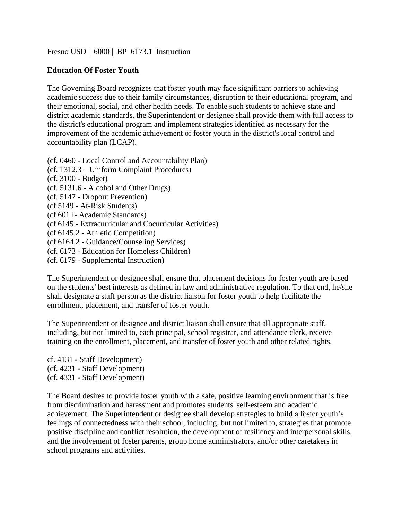[Fresno USD](http://www.fresnounified.org/board/policies/Policies/fusd/loaddistrictpolicy/1050.htm) | [6000](http://www.fresnounified.org/board/policies/Policies/fusd/policycategorylist/1050/6.htm) | BP 6173.1 Instruction

## **Education Of Foster Youth**

The Governing Board recognizes that foster youth may face significant barriers to achieving academic success due to their family circumstances, disruption to their educational program, and their emotional, social, and other health needs. To enable such students to achieve state and district academic standards, the Superintendent or designee shall provide them with full access to the district's educational program and implement strategies identified as necessary for the improvement of the academic achievement of foster youth in the district's local control and accountability plan (LCAP).

(cf. [0460](http://gamutonline.net/displayPolicy/857369/6) - Local Control and Accountability Plan) (cf. 1312.3 – Uniform Complaint Procedures) (cf. [3100](http://gamutonline.net/displayPolicy/352637/6) - Budget) (cf. [5131.6](http://gamutonline.net/displayPolicy/171128/6) - Alcohol and Other Drugs) (cf. [5147](http://gamutonline.net/displayPolicy/936021/6) - Dropout Prevention) (cf 5149 - At-Risk Students) (cf 601 I- Academic Standards) (cf 6145 - Extracurricular and Cocurricular Activities) (cf 6145.2 - Athletic Competition) (cf 6164.2 - Guidance/Counseling Services) (cf. [6173](http://gamutonline.net/displayPolicy/274293/6) - Education for Homeless Children) (cf. [6179](http://gamutonline.net/displayPolicy/292834/6) - Supplemental Instruction)

The Superintendent or designee shall ensure that placement decisions for foster youth are based on the students' best interests as defined in law and administrative regulation. To that end, he/she shall designate a staff person as the district liaison for foster youth to help facilitate the enrollment, placement, and transfer of foster youth.

The Superintendent or designee and district liaison shall ensure that all appropriate staff, including, but not limited to, each principal, school registrar, and attendance clerk, receive training on the enrollment, placement, and transfer of foster youth and other related rights.

cf. [4131](http://gamutonline.net/displayPolicy/993209/6) - Staff Development) (cf. [4231](http://gamutonline.net/displayPolicy/993213/6) - Staff Development) (cf. [4331](http://gamutonline.net/displayPolicy/171627/6) - Staff Development)

The Board desires to provide foster youth with a safe, positive learning environment that is free from discrimination and harassment and promotes students' self-esteem and academic achievement. The Superintendent or designee shall develop strategies to build a foster youth's feelings of connectedness with their school, including, but not limited to, strategies that promote positive discipline and conflict resolution, the development of resiliency and interpersonal skills, and the involvement of foster parents, group home administrators, and/or other caretakers in school programs and activities.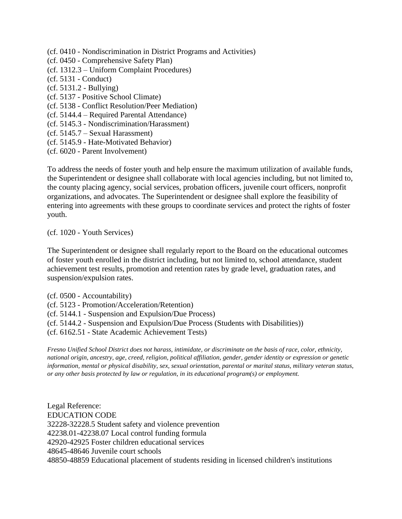- (cf. [0410](http://gamutonline.net/displayPolicy/890898/6) Nondiscrimination in District Programs and Activities)
- (cf. [0450](http://gamutonline.net/displayPolicy/352629/6) Comprehensive Safety Plan)
- (cf. 1312.3 Uniform Complaint Procedures)
- (cf. [5131](http://gamutonline.net/displayPolicy/931147/6) Conduct)
- (cf. [5131.2](http://gamutonline.net/displayPolicy/993215/6) Bullying)
- (cf. [5137](http://gamutonline.net/displayPolicy/170904/6) Positive School Climate)
- (cf. [5138](http://gamutonline.net/displayPolicy/171728/6) Conflict Resolution/Peer Mediation)
- (cf. 5144.4 Required Parental Attendance)
- (cf. [5145.3](http://gamutonline.net/displayPolicy/890899/6) Nondiscrimination/Harassment)
- (cf. 5145.7 Sexual Harassment)
- (cf. [5145.9](http://gamutonline.net/displayPolicy/171698/6) Hate-Motivated Behavior)
- (cf. [6020](http://gamutonline.net/displayPolicy/171184/6) Parent Involvement)

To address the needs of foster youth and help ensure the maximum utilization of available funds, the Superintendent or designee shall collaborate with local agencies including, but not limited to, the county placing agency, social services, probation officers, juvenile court officers, nonprofit organizations, and advocates. The Superintendent or designee shall explore the feasibility of entering into agreements with these groups to coordinate services and protect the rights of foster youth.

(cf. [1020](http://gamutonline.net/displayPolicy/171198/6) - Youth Services)

The Superintendent or designee shall regularly report to the Board on the educational outcomes of foster youth enrolled in the district including, but not limited to, school attendance, student achievement test results, promotion and retention rates by grade level, graduation rates, and suspension/expulsion rates.

(cf. [0500](http://gamutonline.net/displayPolicy/171712/6) - Accountability)

- (cf. [5123](http://gamutonline.net/displayPolicy/226660/6) Promotion/Acceleration/Retention)
- (cf. [5144.1](http://gamutonline.net/displayPolicy/909488/6) Suspension and Expulsion/Due Process)
- (cf. [5144.2](http://gamutonline.net/displayPolicy/288773/6) Suspension and Expulsion/Due Process (Students with Disabilities))
- (cf. [6162.51](http://gamutonline.net/displayPolicy/352670/6) State Academic Achievement Tests)

*Fresno Unified School District does not harass, intimidate, or discriminate on the basis of race, color, ethnicity, national origin, ancestry, age, creed, religion, political affiliation, gender, gender identity or expression or genetic information, mental or physical disability, sex, sexual orientation, parental or marital status, military veteran status, or any other basis protected by law or regulation, in its educational program(s) or employment.*

Legal Reference: EDUCATION CODE [32228](http://gamutonline.net/displayPolicy/421273/6)[-32228.5](http://gamutonline.net/displayPolicy/421277/6) Student safety and violence prevention [42238.01](http://gamutonline.net/displayPolicy/899594/6)[-42238.07](http://gamutonline.net/displayPolicy/899487/6) Local control funding formula [42920](http://gamutonline.net/displayPolicy/131686/6)[-42925](http://gamutonline.net/displayPolicy/131692/6) Foster children educational services [48645](http://gamutonline.net/displayPolicy/132207/6)[-48646](http://gamutonline.net/displayPolicy/512533/6) Juvenile court schools [48850](http://gamutonline.net/displayPolicy/137886/6)[-48859](http://gamutonline.net/displayPolicy/137890/6) Educational placement of students residing in licensed children's institutions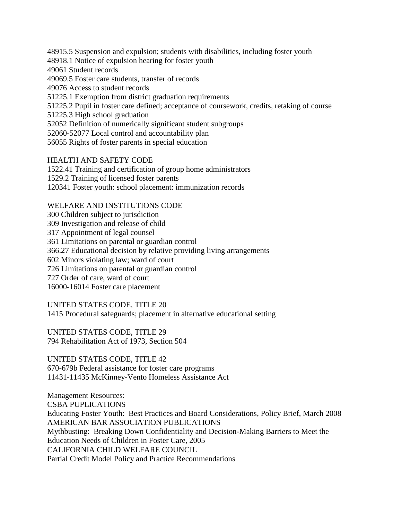[48915.5](http://gamutonline.net/displayPolicy/137528/6) Suspension and expulsion; students with disabilities, including foster youth

[48918.1](http://gamutonline.net/displayPolicy/808004/6) Notice of expulsion hearing for foster youth

[49061](http://gamutonline.net/displayPolicy/132280/6) Student records

[49069.5](http://gamutonline.net/displayPolicy/137891/6) Foster care students, transfer of records

[49076](http://gamutonline.net/displayPolicy/899462/6) Access to student records

[51225.1](http://gamutonline.net/displayPolicy/899633/6) Exemption from district graduation requirements

[51225.2](http://gamutonline.net/displayPolicy/721541/6) Pupil in foster care defined; acceptance of coursework, credits, retaking of course

[51225.3](http://gamutonline.net/displayPolicy/0/6) High school graduation

[52052](http://gamutonline.net/displayPolicy/899522/6) Definition of numerically significant student subgroups

[52060](http://gamutonline.net/displayPolicy/899612/6)[-52077](http://gamutonline.net/displayPolicy/899537/6) Local control and accountability plan

[56055](http://gamutonline.net/displayPolicy/248982/6) Rights of foster parents in special education

HEALTH AND SAFETY CODE

1522.41 Training and certification of group home administrators 1529.2 Training of licensed foster parents

[120341](http://gamutonline.net/displayPolicy/721548/6) Foster youth: school placement: immunization records

## WELFARE AND INSTITUTIONS CODE

 Children subject to jurisdiction Investigation and release of child Appointment of legal counsel Limitations on parental or guardian control [366.27](http://gamutonline.net/displayPolicy/321717/6) Educational decision by relative providing living arrangements Minors violating law; ward of court Limitations on parental or guardian control Order of care, ward of court 16000-16014 Foster care placement

UNITED STATES CODE, TITLE 20 [1415](http://gamutonline.net/displayPolicy/364374/6) Procedural safeguards; placement in alternative educational setting

UNITED STATES CODE, TITLE 29 [794](http://gamutonline.net/displayPolicy/191053/6) Rehabilitation Act of 1973, Section 504

UNITED STATES CODE, TITLE 42 670-679b Federal assistance for foster care programs [11431](http://gamutonline.net/displayPolicy/191744/6)[-11435](http://gamutonline.net/displayPolicy/191749/6) McKinney-Vento Homeless Assistance Act

Management Resources: CSBA PUPLICATIONS Educating Foster Youth: Best Practices and Board Considerations, Policy Brief, March 2008 AMERICAN BAR ASSOCIATION PUBLICATIONS Mythbusting: Breaking Down Confidentiality and Decision-Making Barriers to Meet the Education Needs of Children in Foster Care, 2005 CALIFORNIA CHILD WELFARE COUNCIL Partial Credit Model Policy and Practice Recommendations